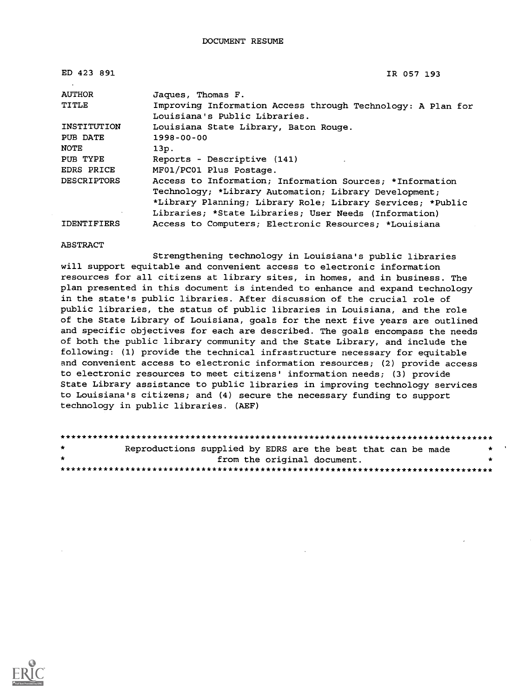| ED 423 891         | IR 057 193                                                                                   |
|--------------------|----------------------------------------------------------------------------------------------|
| <b>AUTHOR</b>      | Jaques, Thomas F.                                                                            |
| TITLE              | Improving Information Access through Technology: A Plan for<br>Louisiana's Public Libraries. |
| INSTITUTION        | Louisiana State Library, Baton Rouge.                                                        |
| PUB DATE           | $1998 - 00 - 00$                                                                             |
| <b>NOTE</b>        | 13p.                                                                                         |
| PUB TYPE           | Reports - Descriptive (141)                                                                  |
| <b>EDRS PRICE</b>  | MF01/PC01 Plus Postage.                                                                      |
| <b>DESCRIPTORS</b> | Access to Information; Information Sources; *Information                                     |
|                    | Technology; *Library Automation; Library Development;                                        |
|                    | *Library Planning; Library Role; Library Services; *Public                                   |
|                    | Libraries; *State Libraries; User Needs (Information)                                        |
| <b>IDENTIFIERS</b> | Access to Computers; Electronic Resources; *Louisiana                                        |

#### ABSTRACT

Strengthening technology in Louisiana's public libraries will support equitable and convenient access to electronic information resources for all citizens at library sites, in homes, and in business. The plan presented in this document is intended to enhance and expand technology in the state's public libraries. After discussion of the crucial role of public libraries, the status of public libraries in Louisiana, and the role of the State Library of Louisiana, goals for the next five years are outlined and specific objectives for each are described. The goals encompass the needs of both the public library community and the State Library, and include the following: (1) provide the technical infrastructure necessary for equitable and convenient access to electronic information resources; (2) provide access to electronic resources to meet citizens' information needs; (3) provide State Library assistance to public libraries in improving technology services to Louisiana's citizens; and (4) secure the necessary funding to support technology in public libraries. (AEF)

| $\star$   | Reproductions supplied by EDRS are the best that can be made |                             |  |  | $\star$ $\cdot$ |  |
|-----------|--------------------------------------------------------------|-----------------------------|--|--|-----------------|--|
| $\bullet$ |                                                              | from the original document. |  |  |                 |  |
|           |                                                              |                             |  |  |                 |  |

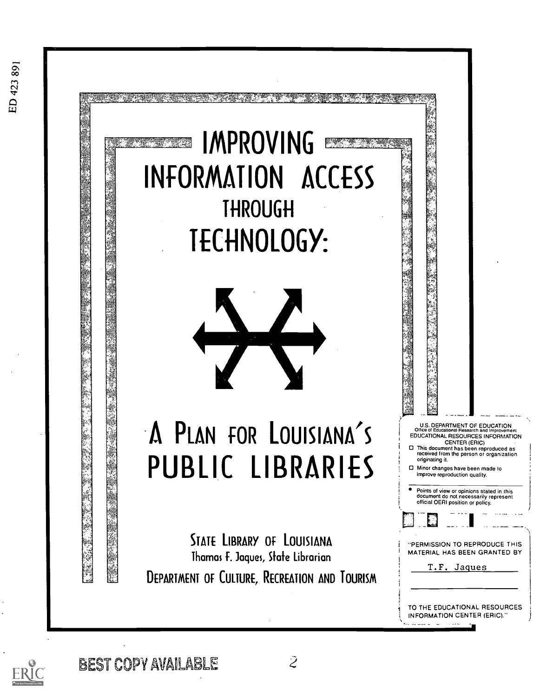

$$
ERIC
$$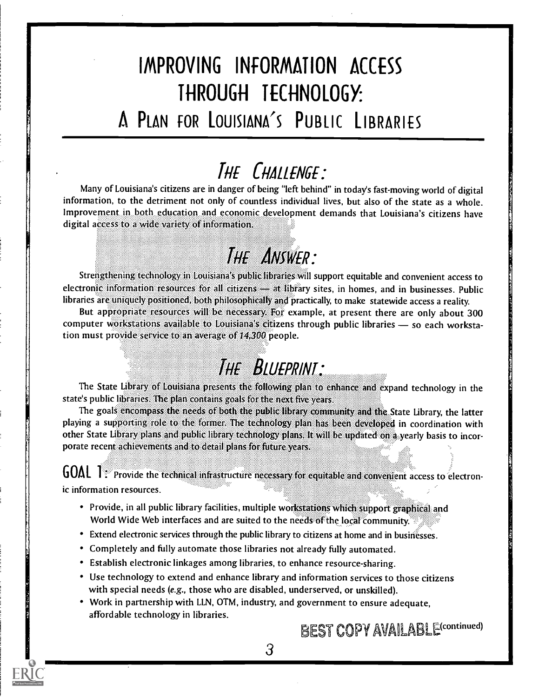## IMPROVING INfORMATION ACCESS THROUGH TECHNOLOGY:

### A PLAN FOR LOUISIANA'S PUBLIC LIBRARIES

### THE CHALLENGE:

Many of Louisiana's citizens are in danger of being "left behind" in today's fast-moving world of digital information, to the detriment not only of countless individual lives, but also of the state as a whole. Improvement in both education and economic development demands that Louisiana's citizens have digital access to a wide variety of information.

## THE ANSWER:

Strengthening technology in Louisiana's public libraries Will support equitable and convenient access to electronic information resources for all citizens - at library sites, in homes, and in businesses. Public libraries are uniquely positioned, both philosophically and practically, to make statewide access a reality

But appropriate resources will be necessary. For example, at present there are only about 300 computer workstations available to Louisiana's citizens through public libraries - so each workstation must provide service to an average of 14,300 people.

## THE BLUEPRINT:

The State Library of Louisiana presents the following plan to enhance and expand technology in the state's public libraries. The plan contains goals for the nextfive years.

The goals encompass the needs of both the public library community and the State Library, the latter playing a supporting role to the former. The technology plan has been developed in coordination with other State Library plans and public library technology plans. It will be updated on a yearly basis to incorporate recent achievements and to detail plans for future years.

 $\textsf{GOAL}$  1: Provide the technical infrastructure necessary for equitable and convenient access to electronic information resources.

- Provide, in all public library facilities, multiple workstations which support graphical and World Wide Web interfaces and are suited to the needs of the local community.
- Extend electronic services through the public library to citizens at home and in businesses.
- Completely and fully automate those libraries not already fully automated.
- Establish electronic linkages among libraries, to enhance resource-sharing.
- Use technology to extend and enhance library and information services to those citizens with special needs (e.g., those who are disabled, underserved, or unskilled).
- Work in partnership with LLN, OTM, industry, and government to ensure adequate, affordable technology in libraries.

BEST COPY AVAILABLE<sup>(continued)</sup>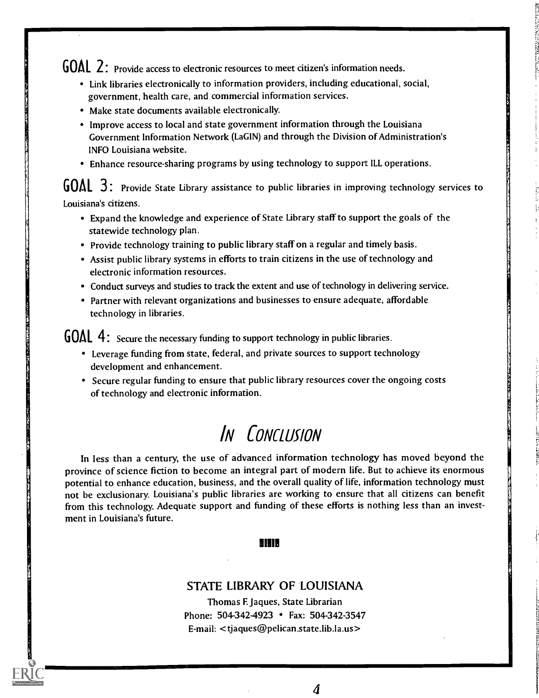GOAL 2: Provide access to electronic resources to meet citizen's information needs.

- Link libraries electronically to information providers, including educational, social, government, health care, and commercial information services.
- Make state documents available electronically.
- Improve access to local and state government information through the Louisiana Government Information Network (LaGIN) and through the Division of Administration's INFO Louisiana website.
- Enhance resource-sharing programs by using technology to support ILL operations.

GOAL 3: Provide State Library assistance to public libraries in improving technology services to Louisiana's citizens.

- Expand the knowledge and experience of State Library staff to support the goals of the statewide technology plan.
- Provide technology training to public library staff on a regular and timely basis.
- Assist public library systems in efforts to train citizens in the use of technology and electronic information resources.
- Conduct surveys and studies to track the extent and use of technology in delivering service.
- Partner with relevant organizations and businesses to ensure adequate, affordable technology in libraries.

**AL**  $4:$  **Secure the necessary funding to support technology in public libraries.** 

- Leverage funding from state, federal, and private sources to support technology development and enhancement.
- Secure regular funding to ensure that public library resources cover the ongoing costs of technology and electronic information.

## IN CONCLUSION

In less than a century, the use of advanced information technology has moved beyond the province of science fiction to become an integral part of modern life. But to achieve its enormous potential to enhance education, business, and the overall quality of life, information technology must not be exclusionary. Louisiana's public libraries are working to ensure that all citizens can benefit from this technology. Adequate support and funding of these efforts is nothing less than an investment in Louisiana's future.

#### 81919

#### STATE LIBRARY OF LOUISIANA

Thomas E Jaques, State Librarian Phone: 504-342-4923 • Fax: 504-342-3547 E-mail: <tjaques@pelican.state.lib.la.us>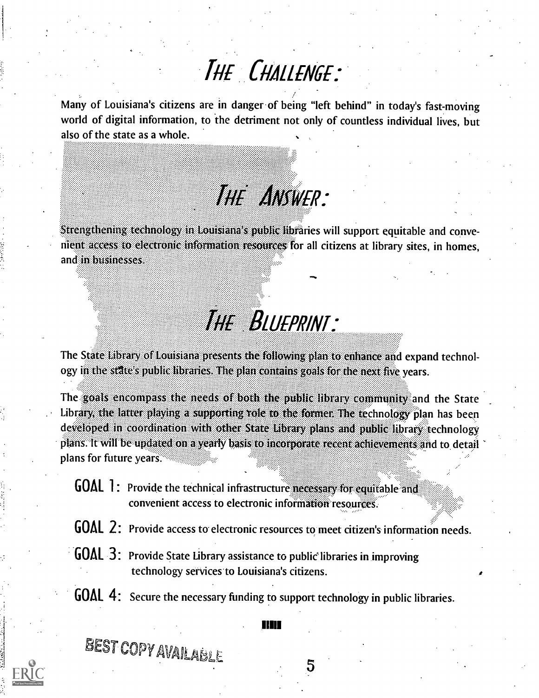## THE CHALLENGE:

Many of Louisiana's citizens are in danger of being "left behind" in today's fast-moving world of digital information, to the detriment not only of countless individual lives, but also of the state as a whole. .<br>8888. . . .

### ....... ....... R:

.......

OM&

ening technology in Louisiana's public libraries will support equitable and convenient access to electronic information resources for all citizens at library sites, in homes, and in businesses.

## The Blueprint:

The State Library of Louisiana presents the following plan to enhance and expand technology in the state's public libraries. The plan contains goals for the next five years.

The goals encompass the needs of both the public library community and the State Library the latter playing a supporting role to the former. The rechnology plan has been developed in coordination with other State Library plans and public library technology It will be updated on a yearly basis to incorporate recent achievements and to detail ............ plans for future years.

- GOAL 1: Provide the technical infrastructure necessary for equitable and convenient access to electronic information resources.
- GOAL 2: Provide access to electronic resources to meet citizen's information needs.
- $^{\circ}$  GOAL 3: Provide State Library assistance to public libraries in improving technology services to Louisiana's citizens.
- GOAL 4: Secure the necessary funding to support technology in public libraries.

#### 11111

BEST COPY AVAILABLE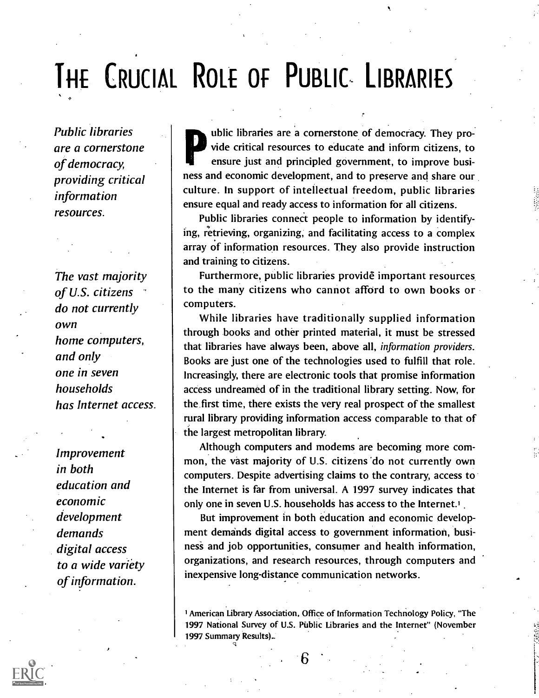# THE CRUCIAL ROLE OF PUBLIC LIBRARIES

Public libraries are a cornerstone of democracy, providing critical information resources.

The vast majority of U.S. citizens do not currently own home computers, and only one in seven households has Internet access.

-

Improvement in both education and economic development demands digital access to a wide variety of information.

ublic libraries are a cornerstone of democracy. They provide critical resources to educate and inform citizens, to ensure just and principled government, to improve business and economic development, and to preserve and share our. culture. In support of intellectual freedom, public libraries ensure equal and ready access to information for all citizens.

Public libraries connect people to information by identify ing, retrieving, organizing, and facilitating access to a complex array of information resources. They also provide instruction and training to citizens.

Furthermore, public libraries provide important resources to the many citizens who cannot afford to own books or computers.

While libraries have traditionally supplied information through books and other printed material, it must be stressed that libraries have always been, above all, information providers. Books are just one of the technologies used to fulfill that role. Increasingly, there are electronic tools that promise information access undreamed of in the traditional library setting. Now, for the.first time, there exists the very real prospect of the smallest rural library providing information access comparable to that of the largest metropolitan library.

Although computers and modems are becoming more common, the vast majority of U.S. citizens 'do not currently own computers. Despite advertising claims to the contrary, access to the Internet is far from universal. A 1997 survey indicates that only one in seven U.S. households has access to the Internet.'

But improvement in both education and economic development demands digital access to government information, business and job opportunities, consumer and health information, organizations, and research resources, through computers and inexpensive long-distance communication networks.

1 American Library Association, Office of Information Technology Policy, "The 1997 National Survey of U.S. Public Libraries and the Internet" (November 1997 Summary Results).\_

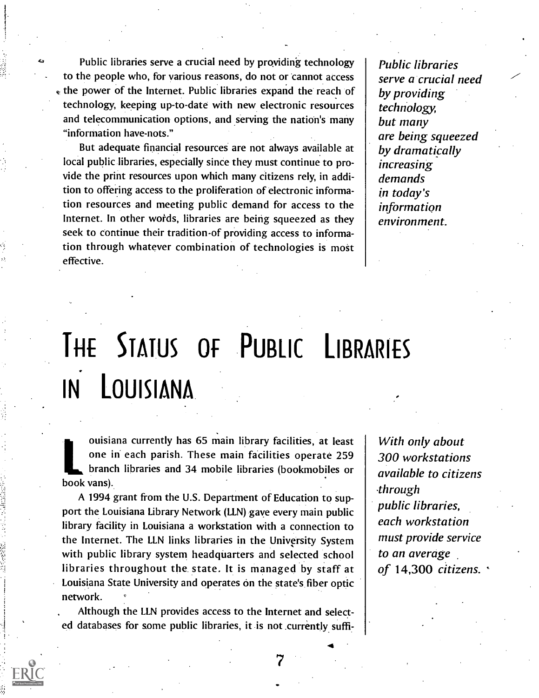Public libraries serve a crucial need by providing technology to the people who, for various reasons, do not or cannot access the power of the Internet. Public libraries expand the reach of technology, keeping up-to-date with new electronic resources and telecommunication options, and serving the nation's many "information have-nots."

But adequate financial resources are not always available at local public libraries, especially since they must continue to provide the print resources upon which many citizens rely, in addition to offering access to the proliferation of electronic information resources and meeting public demand for access to the Internet. In other words, libraries are being squeezed as they seek to continue their tradition-of providing access to information through whatever combination of technologies is most effective.

Public libraries serve a crucial need by providing technology, but many are being squeezed by dramatically increasing demands in today's information environment.

# THE STATUS OF PUBLIC LIBRARIES IN. LOUISIANA

ouisiana currently has 65 main library facilities, at least one in each parish. These main facilities operate 259 branch libraries and 34 mobile libraries (bookmobiles or book vans).

A 1994 grant from the U.S. Department of Education to support the Louisiana Library Network (LLN) gave every main public library facility in Louisiana a workstation with a connection to the Internet. The LLN links libraries in the University System with public library system headquarters and selected school libraries throughout the state. It is managed by staff at Louisiana State University and operates on the state's fiber optic network.

Although the LLN provides access to the Internet and selected databases for some public libraries, it is not currently suffi-

With only about 300 workstations available to citizens through public libraries, each workstation must provide service to an average of 14,300 citizens. '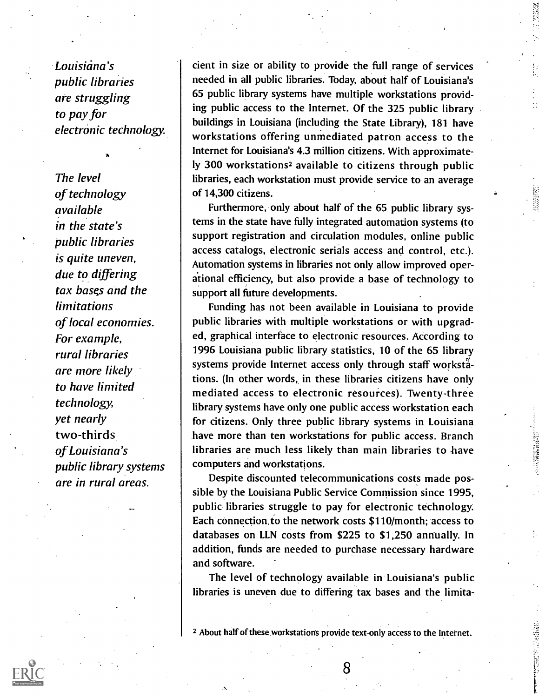Louisiana's public libraries are struggling to pay for electronic technology.

**A** and the second second  $\mathbf{A}$ 

The level of technology available in the state's public libraries is quite uneven, due to differing tax bases and the limitations of local economies. For example, rural libraries are more likely to have limited technology, yet nearly two-thirds of Louisiana's public library systems are in rural areas.

cient in size or ability to provide the full range of services needed in all public libraries. Today, about half of Louisiana's 65 public library systems have multiple workstations providing public access to the Internet. Of the 325 public library buildings in Louisiana (including the State Library), 181 have workstations offering unmediated patron access to the Internet for Louisiana's 4.3 million citizens. With approximately 300 workstations2 available to citizens through public libraries, each workstation must provide service to an average of 14,300 citizens.

Furthermore, only about half of the 65 public library systems in the state have fully integrated automation systems (to support registration and circulation modules, online public access catalogs, electronic serials access and control, etc.). Automation systems in libraries not only allow improved operational efficiency, but also provide a base of technology to support all future developments.

Funding has not been available in Louisiana to provide public libraries with multiple workstations or with upgraded, graphical interface to electronic resources. According to 1996 Louisiana public library statistics, 10 of the 65 library systems provide Internet access only through staff workstätions. (In other words, in these libraries citizens have only mediated access to electronic resources). Twenty-three library systems have only one public access Workstation each for citizens. Only three public library systems in Louisiana have more than ten workstations for public access. Branch libraries are much less likely than main libraries to have computers and workstations.

Despite discounted telecommunications costs made possible by the Louisiana Public Service Commission since 1995, public libraries struggle to pay for electronic technology Each connection, to the network costs \$110/month; access to databases on LLN costs from \$225 to \$1,250 anrivally. In addition, funds are needed to purchase necessary hardware and software.

The level of technology available in Louisiana's public libraries is uneven due to differing tax bases and the limita-

2 About half of these workstations provide text-only access to the Internet.

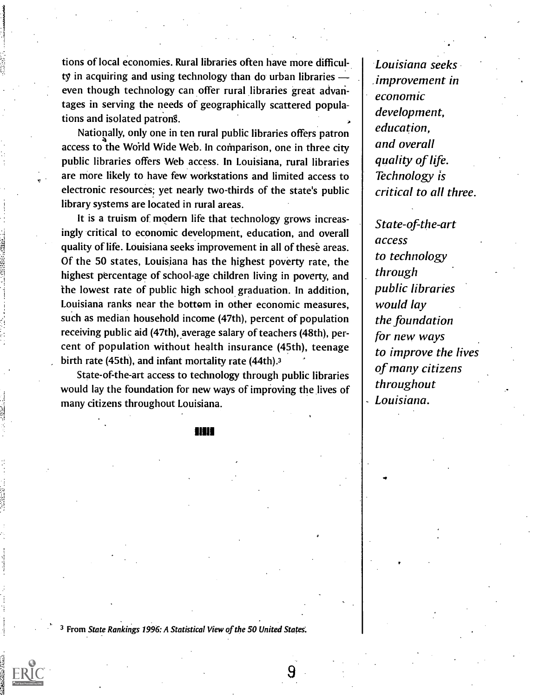tions of local economies. Rural libraries often have more difficulty in acquiring and using technology than do urban libraries even though technology can offer rural libraries great advantages in serving the needs of geographically scattered populations and isolated patrons.

Nationally, only one in ten rural public libraries offers patron access to the World Wide Web. In comparison, one in three city public libraries offers Web access. In Louisiana, rural libraries are more likely to have few workstations and limited access to electronic resources; yet nearly two-thirds of the state's public library systems are located in rural areas.

It is a truism of modern life that technology grows increasingly critical to economic development, education, and overall quality of life. Louisiana seeks improvement in all of these areas. Of the 50 states, Louisiana has the highest poverty rate, the highest percentage of school-age children living in poverty, and the lowest rate of public high school graduation. In addition, Louisiana ranks near the bottom in other economic measures, such as median household income (47th), percent of population receiving public aid (47th), average salary of teachers (48th), percent of population without health insurance (45th), teenage birth rate (45th), and infant mortality rate (44th).3

State-of-the-art access to technology through public libraries would lay the foundation for new ways of improving the lives of many citizens throughout Louisiana.

1111

Louisiana seeks ,improvement in economic development, education, and overall quality of life. Technology is critical to all three.

State-of-the-art access to technology through public libraries would lay the foundation for new ways to improve the lives of many citizens throughout Louisiana.

3 From State Rankings 1996: A Statistical View of the 50 United States:

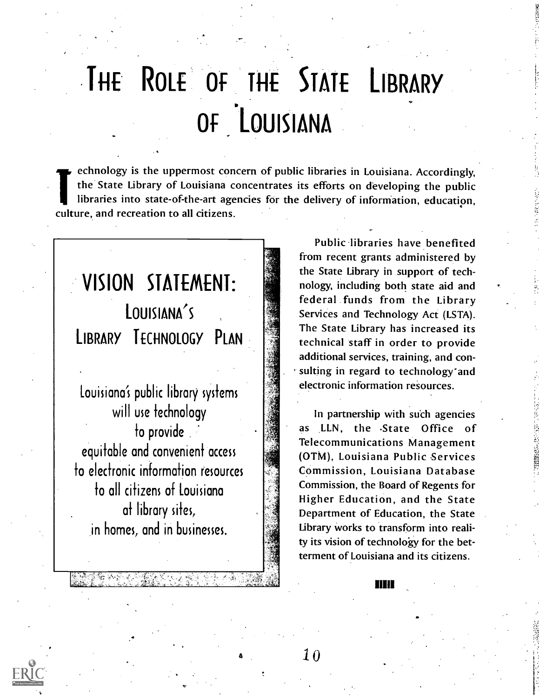# THE ROLE OF THE STATE LIBRARY Of 'LOUISIANA

echnology is the uppermost concern of public libraries in Louisiana. Accordingly, the State Library of Louisiana concentrates its efforts on developing the public libraries into state-of-the-art agencies for the delivery of information, education, culture, and recreation to all citizens.

## VISION STATEMENT: LOUISIANA'S LIBRARY TECHNOLOGY PLAN

Louisiana's public library systems will use technology to provide . equitable and convenient access to electronic information resources to all citizens of Louisiana at library sites, in homes, and in businesses.

Public libraries have benefited from recent grants administered by the State Library in support of technology, including both state aid and federal funds from the Library Services and Technology Act (LSTA). The State Library has increased its technical staff in order to provide additional services, training, and con sulting in regard to technology and electronic information resources.

In partnership with such agencies as LLN, the State Office of Telecommunications Management (OTM), Louisiana Public Services Commission, Louisiana Database Commission, the Board of Regents for Higher Education, and the State Department of Education, the State Library works to transform into reality its vision of technology for the betterment of Louisiana and its citizens.

mm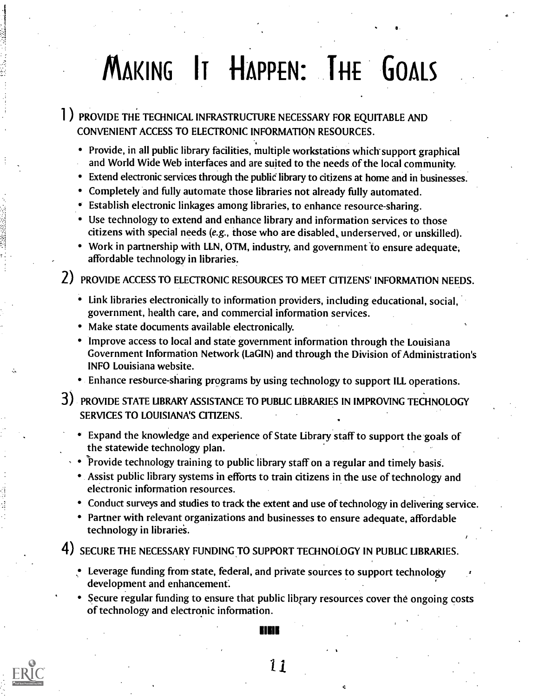# MAKING IT HAPPEN: THE GOALS

1 ) PROVIDE THE TECHNICAL INFRASTRUCTURE NECESSARY FOR EQUITABLE AND CONVENIENT ACCESS TO ELECTRONIC INFORMATION RESOURCES.

- Provide, in all public library facilities, multiple workstations which support graphical and World Wide Web interfaces and are suited to the needs of the local community.
- Extend electronic services through the public library to citizens at home and in businesses.
- Completely and fully automate those libraries not already fully automated.
- Establish electronic linkages among libraries, to enhance resource-sharing.
- Use technology to extend and enhance library and information services to those citizens with special needs (e.g., those who are disabled, underserved, or unskilled).
- Work in partnership with LLN, OTM, industry, and government 'to ensure adequate, affordable technology in libraries.

2) PROVIDE ACCESS TO ELECTRONIC RESOURCES TO MEET CITIZENS' INFORMATION NEEDS.

- Link libraries electronically to information providers, including educational, social, government, health care, and commercial information services.
- Make state documents available electronically.
- Improve access to local and state government information through the Louisiana Government Information Network (LaGIN) and through the Division of Administration's INFO Louisiana website.
- Enhance resource-sharing programs by using technology to support ILL operations.
- 3) PROVIDE STATE LIBRARY ASSISTANCE TO PUBLIC LIBRARIES IN IMPROVING TECHNOLOGY SERVICES TO LOUISIANA'S CITIZENS.
	- Expand the knowledge and experience of State Library staff to support the-goals of the statewide technology plan.
	- $\cdot \bullet$  Provide technology training to public library staff on a regular and timely basis.
		- Assist public library systems in efforts to train citizens in the use of technology and electronic information resources.
		- Conduct surveys and studies to track the extent and use of technology in delivering service.
		- Partner with relevant organizations and businesses to ensure adequate, affordable technology in libraries.

4) SECURE THE NECESSARY FUNDING TO SUPPORT TECHNOLOGY IN PUBLIC LIBRARIES.

- Leverage funding from state, federal, and private sources to support technology development and enhancement:
- Secure regular funding to ensure that public library resources cover the ongoing costs of technology and electronic information.



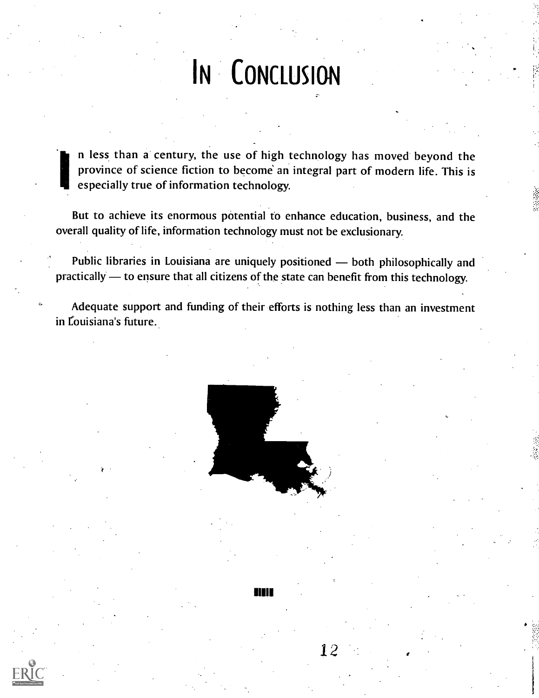# IN CONCLUSION

n less than a. century, the use of high technology has moved beyond the province of science fiction to become an integral part of modern life. This is especially true of information technology.

But to achieve its enormous potential to enhance education, business, and the overall quality of life, information technology must not be exclusionary.

Public libraries in Louisiana are uniquely positioned - both philosophically and practically — to ensure that all citizens of the state can benefit from this technology.

Adequate support and funding of their efforts is nothing less than an investment in Louisiana's future.

II"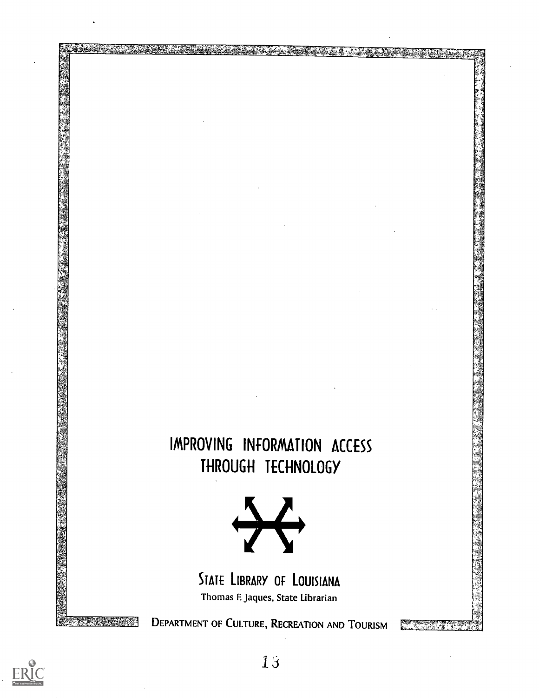### IMPROVING INFORMATION ACCESS THROUGH TECHNOLOGY

漂。



STATE LIBRARY OF LOUISIANA Thomas F. Jaques, State Librarian

DEPARTMENT OF CULTURE, RECREATION AND TOURISM

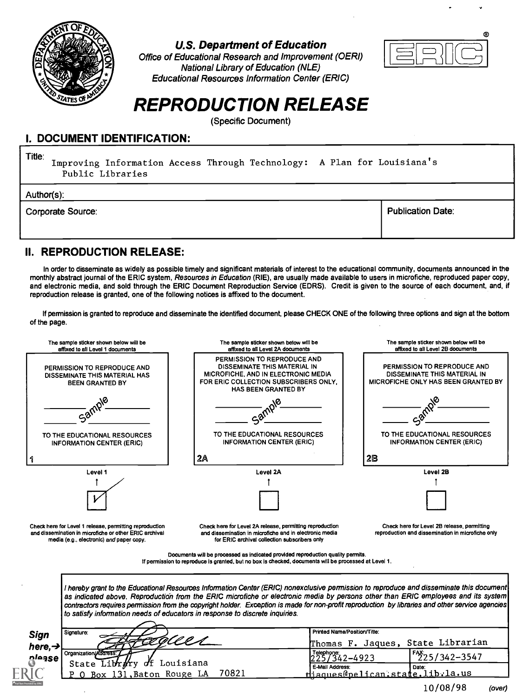

#### U.S. Department of Education

Office of Educational Research and Improvement (OERI) National Library of Education (NLE) Educational Resources Information Center (ERIC)



### REPRODUCTION RELEASE

(Specific Document)

#### I. DOCUMENT IDENTIFICATION:

Title: Improving Information Access Through Technology: A Plan for Louisiana's Public Libraries

Author(s):

Corporate Source: Publication Date: Publication Date: Publication Date: Publication Date: Publication Date: Pu

#### II. REPRODUCTION RELEASE:

In order to disseminate as widely as possible timely and significant materials of interest to the educational community, documents announced in the monthly abstract journal of the ERIC system, Resources in Education (RIE), are usually made available to users in microfiche, reproduced paper copy, and electronic media, and sold through the ERIC Document Reproduction Service (EDRS). Credit is given to the source of each document, and, if reproduction release is granted, one of the following notices is affixed to the document.

If permission is granted to reproduce and disseminate the identified document, please CHECK ONE of the following three options and sign at the bottom of the page.